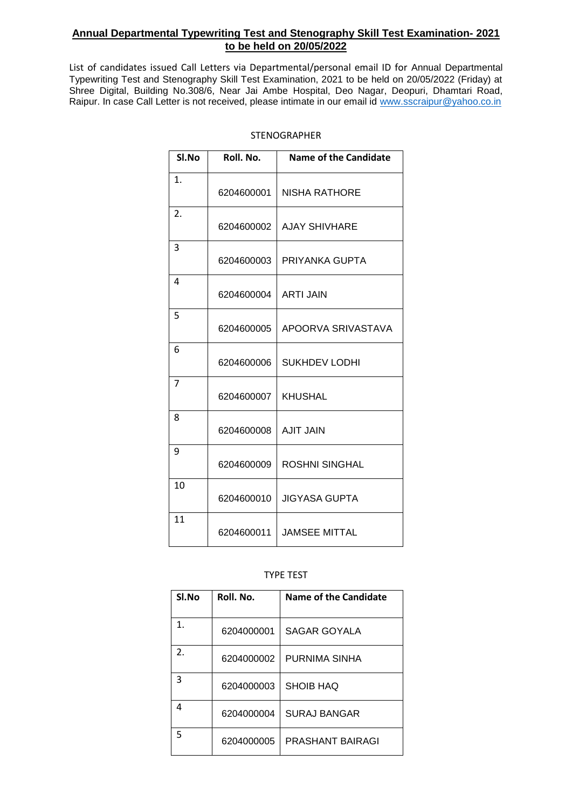## **Annual Departmental Typewriting Test and Stenography Skill Test Examination- 2021 to be held on 20/05/2022**

List of candidates issued Call Letters via Departmental/personal email ID for Annual Departmental Typewriting Test and Stenography Skill Test Examination, 2021 to be held on 20/05/2022 (Friday) at Shree Digital, Building No.308/6, Near Jai Ambe Hospital, Deo Nagar, Deopuri, Dhamtari Road, Raipur. In case Call Letter is not received, please intimate in our email id www.sscraipur@yahoo.co.in

| Sl.No          | Roll. No.  | Name of the Candidate |
|----------------|------------|-----------------------|
| $\mathbf{1}$ . | 6204600001 | <b>NISHA RATHORE</b>  |
| 2.             | 6204600002 | <b>AJAY SHIVHARE</b>  |
| 3              | 6204600003 | PRIYANKA GUPTA        |
| 4              | 6204600004 | <b>ARTI JAIN</b>      |
| 5              | 6204600005 | APOORVA SRIVASTAVA    |
| 6              | 6204600006 | SUKHDEV LODHI         |
| 7              | 6204600007 | <b>KHUSHAL</b>        |
| 8              | 6204600008 | <b>AJIT JAIN</b>      |
| 9              | 6204600009 | <b>ROSHNI SINGHAL</b> |
| 10             | 6204600010 | <b>JIGYASA GUPTA</b>  |
| 11             | 6204600011 | <b>JAMSEE MITTAL</b>  |

## STENOGRAPHER

## TYPE TEST

| Sl.No                 | Roll. No.  | Name of the Candidate |
|-----------------------|------------|-----------------------|
| $\mathbf 1$           | 6204000001 | SAGAR GOYALA          |
| $\mathcal{D}_{\cdot}$ | 6204000002 | PURNIMA SINHA         |
| 3                     | 6204000003 | SHOIB HAQ             |
| 4                     | 6204000004 | SURAJ BANGAR          |
| 5                     | 6204000005 | PRASHANT BAIRAGI      |